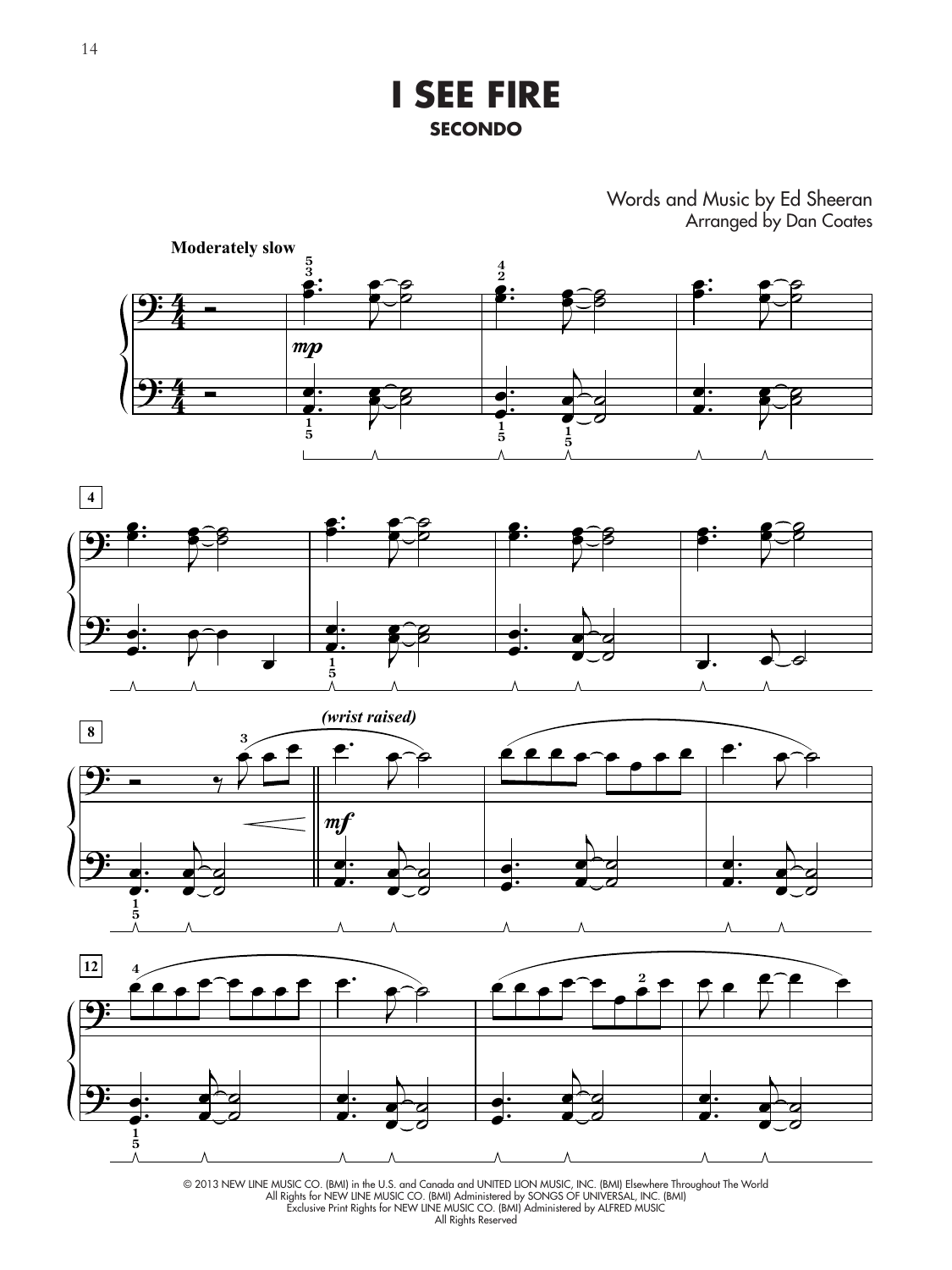**I SEE FIRE SECONDO**

> Words and Music by Ed Sheeran Arranged by Dan Coates

> > .

œ

 $\sigma$ 







<sup>© 2013</sup> NEW LINE MUSIC CO. (BMI) in the U.S. and Canada and UNITED LION MUSIC, INC. (BMI) Elsewhere Throughout The World All Rights for NEW LINE MUSIC CO. (BMI) Administered by SONGS OF UNIVERSAL, INC. (BMI) Exclusive Print Rights for NEW LINE MUSIC CO. (BMI) Administered by ALFRED MUSIC All Rights Reserved

.

œ

.

œ

 $\sigma$ 

.

œ **1 5**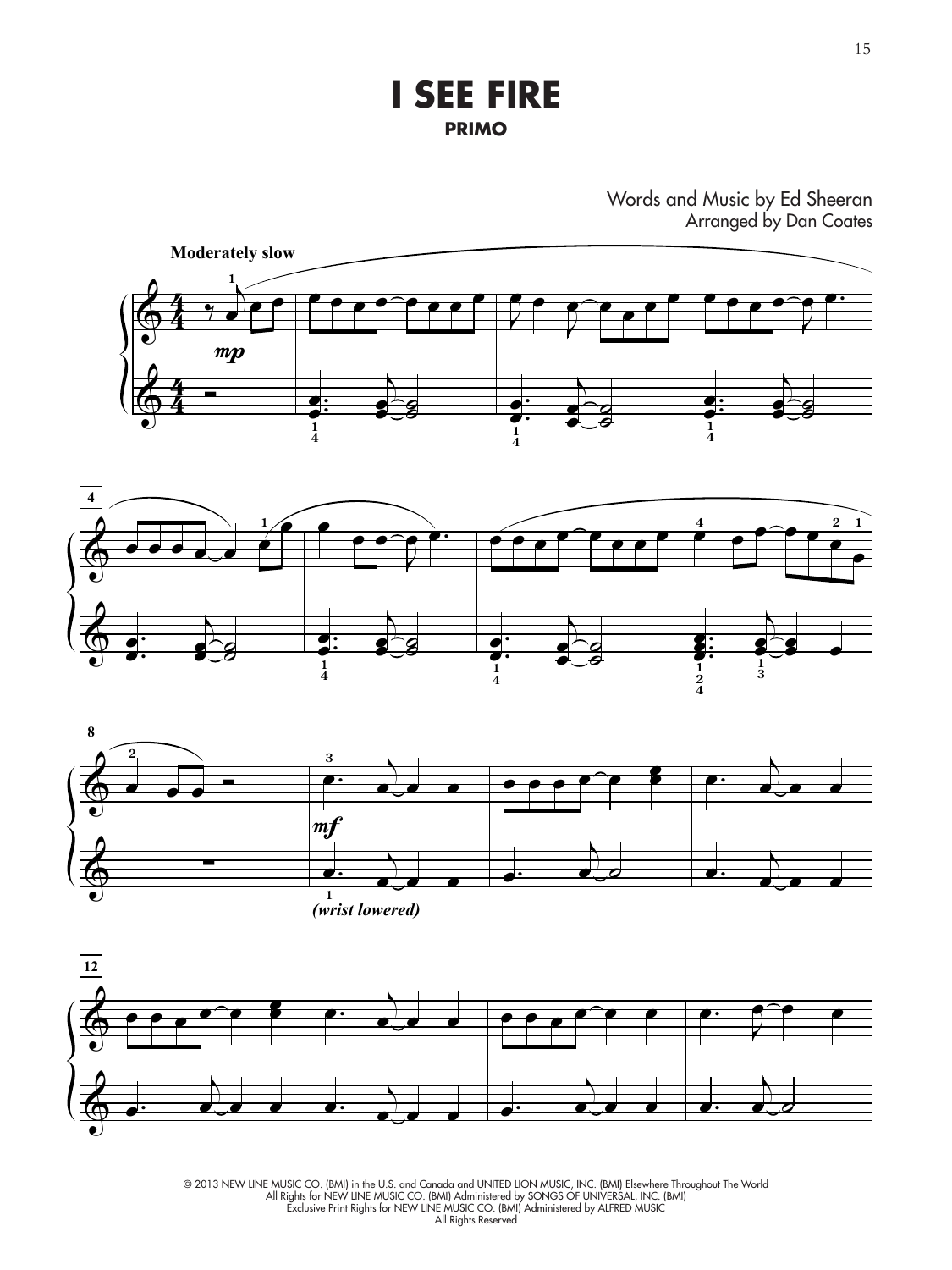**I SEE FIRE PRIMO**

Words and Music by Ed Sheeran Arranged by Dan Coates









15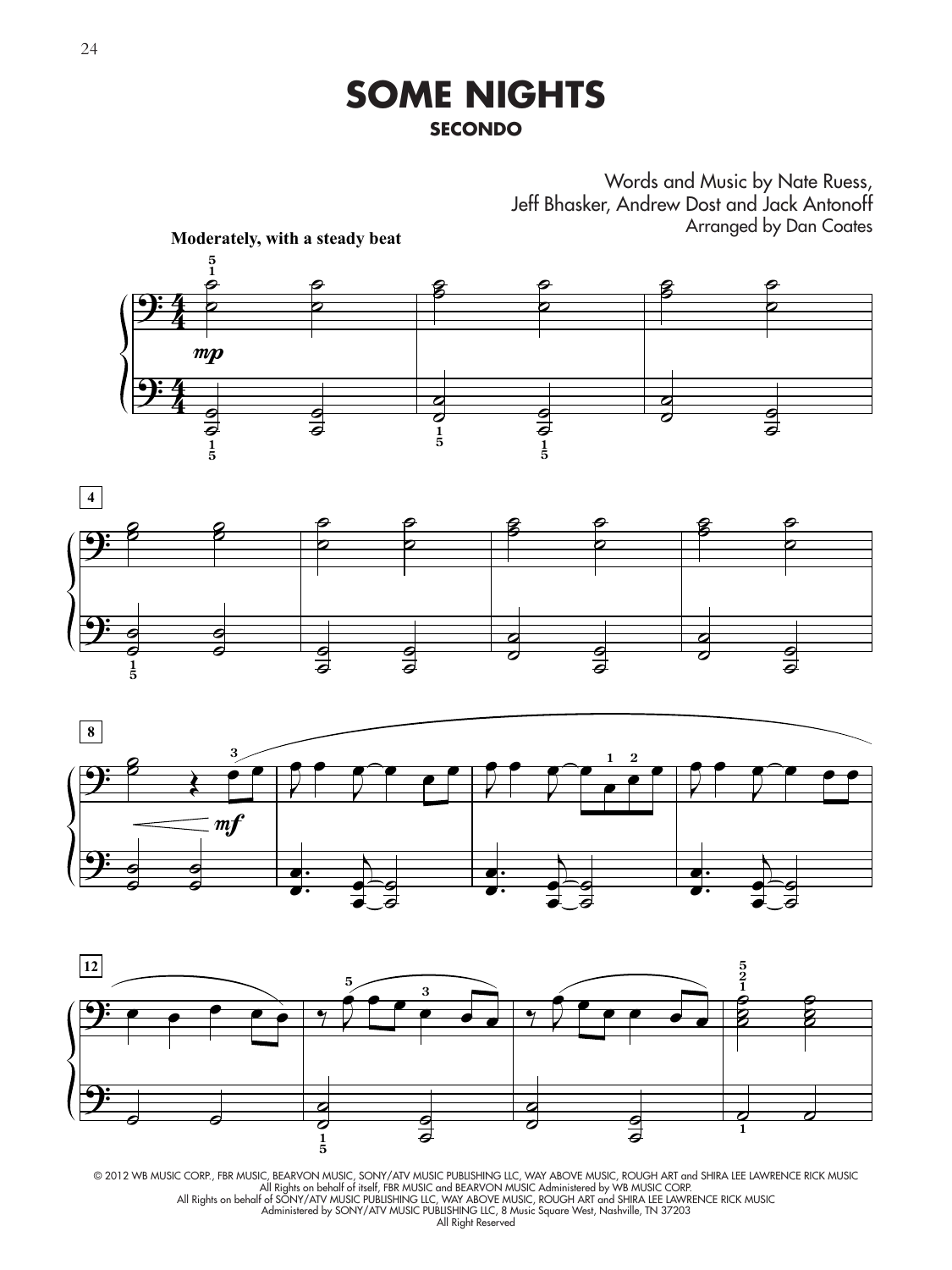## **SOME NIGHTS SECONDO**

Words and Music by Nate Ruess, Jeff Bhasker, Andrew Dost and Jack Antonoff Arranged by Dan Coates









© 2012 WB MUSIC CORP., FBR MUSIC, BEARVON MUSIC, SONY/ATV MUSIC PUBLISHING LLC, WAY ABOVE MUSIC, ROUGH ART and SHIRA LEE LAWRENCE RICK MUSIC<br>All Rights on behalf of itself, FBR MUSIC and BEARVON MUSIC Administered by WB MU All Rights on behalf of SONY/ATV MUSIC PUBLISHING LLC, WAY ABOVE MUSIC, ROUGH ART and SHIRA LEE LAWRENCE RICK MUSIC Administered by SONY/ATV MUSIC PUBLISHING LLC, 8 Music Square West, Nashville, TN 37203 All Right Reserved